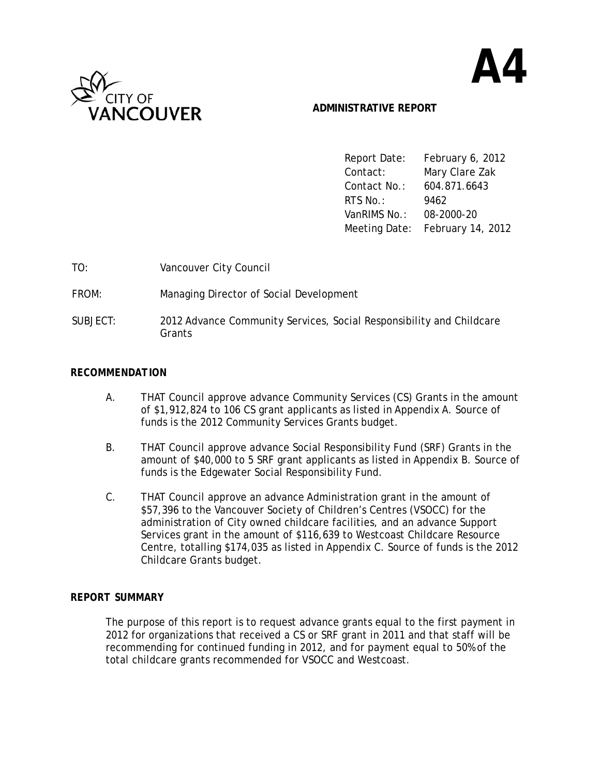

## **ADMINISTRATIVE REPORT**

 Report Date: February 6, 2012 Contact: Mary Clare Zak Contact No.: 604.871.6643 **RTS No.:** 9462 VanRIMS No.: 08-2000-20 Meeting Date: February 14, 2012

 **A4**

| TO:      | Vancouver City Council                                                         |
|----------|--------------------------------------------------------------------------------|
| FROM:    | Managing Director of Social Development                                        |
| SUBJECT: | 2012 Advance Community Services, Social Responsibility and Childcare<br>Grants |

## *RECOMMENDATION*

- A. THAT Council approve advance Community Services (CS) Grants in the amount of \$1,912,824 to 106 CS grant applicants as listed in Appendix A. Source of funds is the 2012 Community Services Grants budget.
- B. THAT Council approve advance Social Responsibility Fund (SRF) Grants in the amount of \$40,000 to 5 SRF grant applicants as listed in Appendix B. Source of funds is the Edgewater Social Responsibility Fund.
- C. THAT Council approve an advance Administration grant in the amount of \$57,396 to the Vancouver Society of Children's Centres (VSOCC) for the administration of City owned childcare facilities, and an advance Support Services grant in the amount of \$116,639 to Westcoast Childcare Resource Centre, totalling \$174,035 as listed in Appendix C. Source of funds is the 2012 Childcare Grants budget.

## *REPORT SUMMARY*

 The purpose of this report is to request advance grants equal to the first payment in 2012 for organizations that received a CS or SRF grant in 2011 and that staff will be recommending for continued funding in 2012, and for payment equal to 50% of the total childcare grants recommended for VSOCC and Westcoast.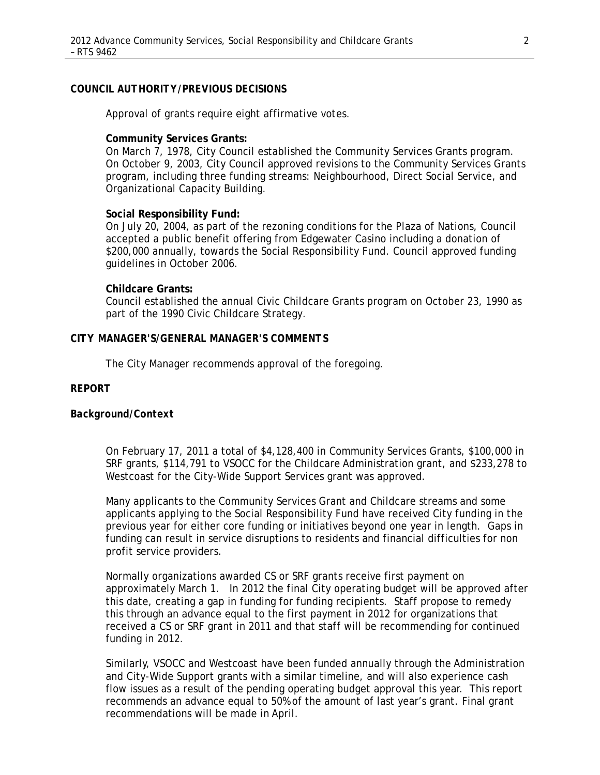### *COUNCIL AUTHORITY/PREVIOUS DECISIONS*

Approval of grants require eight affirmative votes.

#### **Community Services Grants:**

On March 7, 1978, City Council established the Community Services Grants program. On October 9, 2003, City Council approved revisions to the Community Services Grants program, including three funding streams: Neighbourhood, Direct Social Service, and Organizational Capacity Building.

#### **Social Responsibility Fund:**

On July 20, 2004, as part of the rezoning conditions for the Plaza of Nations, Council accepted a public benefit offering from Edgewater Casino including a donation of \$200,000 annually, towards the Social Responsibility Fund. Council approved funding guidelines in October 2006.

### **Childcare Grants:**

Council established the annual Civic Childcare Grants program on October 23, 1990 as part of the 1990 Civic Childcare Strategy.

### *CITY MANAGER'S/GENERAL MANAGER'S COMMENTS*

The City Manager recommends approval of the foregoing.

## *REPORT*

## *Background/Context*

On February 17, 2011 a total of \$4,128,400 in Community Services Grants, \$100,000 in SRF grants, \$114,791 to VSOCC for the Childcare Administration grant, and \$233,278 to Westcoast for the City-Wide Support Services grant was approved.

Many applicants to the Community Services Grant and Childcare streams and some applicants applying to the Social Responsibility Fund have received City funding in the previous year for either core funding or initiatives beyond one year in length. Gaps in funding can result in service disruptions to residents and financial difficulties for non profit service providers.

Normally organizations awarded CS or SRF grants receive first payment on approximately March 1. In 2012 the final City operating budget will be approved after this date, creating a gap in funding for funding recipients. Staff propose to remedy this through an advance equal to the first payment in 2012 for organizations that received a CS or SRF grant in 2011 and that staff will be recommending for continued funding in 2012.

Similarly, VSOCC and Westcoast have been funded annually through the Administration and City-Wide Support grants with a similar timeline, and will also experience cash flow issues as a result of the pending operating budget approval this year. This report recommends an advance equal to 50% of the amount of last year's grant. Final grant recommendations will be made in April.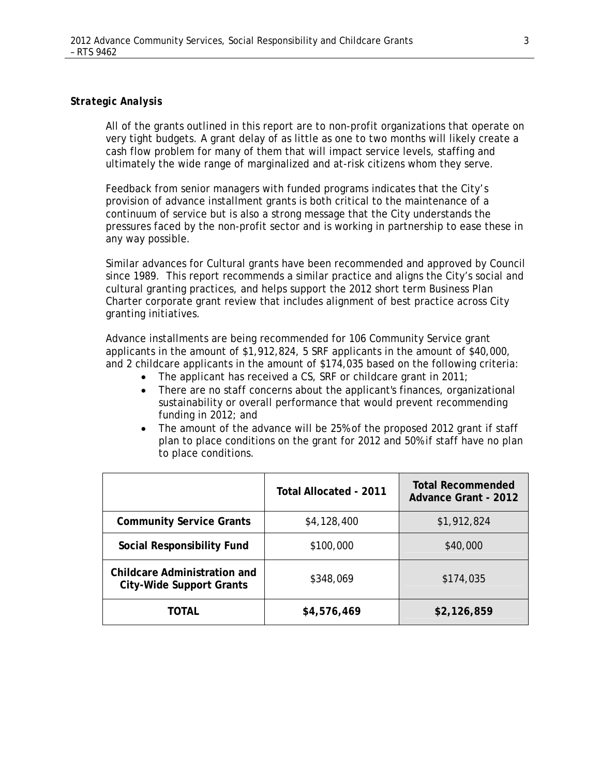### *Strategic Analysis*

All of the grants outlined in this report are to non-profit organizations that operate on very tight budgets. A grant delay of as little as one to two months will likely create a cash flow problem for many of them that will impact service levels, staffing and ultimately the wide range of marginalized and at-risk citizens whom they serve.

Feedback from senior managers with funded programs indicates that the City's provision of advance installment grants is both critical to the maintenance of a continuum of service but is also a strong message that the City understands the pressures faced by the non-profit sector and is working in partnership to ease these in any way possible.

Similar advances for Cultural grants have been recommended and approved by Council since 1989. This report recommends a similar practice and aligns the City's social and cultural granting practices, and helps support the 2012 short term Business Plan Charter corporate grant review that includes alignment of best practice across City granting initiatives.

Advance installments are being recommended for 106 Community Service grant applicants in the amount of \$1,912,824, 5 SRF applicants in the amount of \$40,000, and 2 childcare applicants in the amount of \$174,035 based on the following criteria:

- $\bullet$  The applicant has received a CS, SRF or childcare grant in 2011;
- There are no staff concerns about the applicant's finances, organizational sustainability or overall performance that would prevent recommending funding in 2012; and
- The amount of the advance will be 25% of the proposed 2012 grant if staff plan to place conditions on the grant for 2012 and 50% if staff have no plan to place conditions.

|                                                                 | <b>Total Allocated - 2011</b> | <b>Total Recommended</b><br><b>Advance Grant - 2012</b> |
|-----------------------------------------------------------------|-------------------------------|---------------------------------------------------------|
| <b>Community Service Grants</b>                                 | \$4,128,400                   | \$1,912,824                                             |
| Social Responsibility Fund                                      | \$100,000                     | \$40,000                                                |
| Childcare Administration and<br><b>City-Wide Support Grants</b> | \$348,069                     | \$174,035                                               |
| <b>TOTAL</b>                                                    | \$4,576,469                   | \$2,126,859                                             |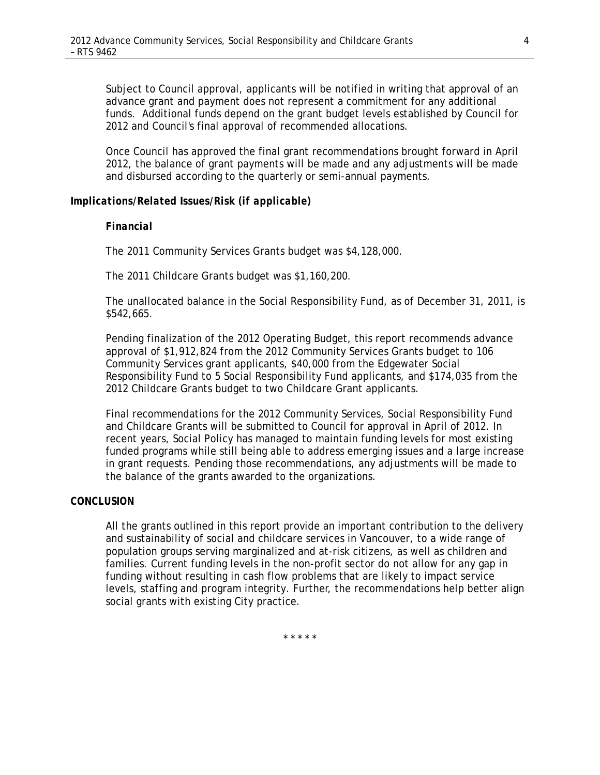Subject to Council approval, applicants will be notified in writing that approval of an advance grant and payment does not represent a commitment for any additional funds. Additional funds depend on the grant budget levels established by Council for 2012 and Council's final approval of recommended allocations.

Once Council has approved the final grant recommendations brought forward in April 2012, the balance of grant payments will be made and any adjustments will be made and disbursed according to the quarterly or semi-annual payments.

## *Implications/Related Issues/Risk (if applicable)*

### *Financial*

The 2011 Community Services Grants budget was \$4,128,000.

The 2011 Childcare Grants budget was \$1,160,200.

The unallocated balance in the Social Responsibility Fund, as of December 31, 2011, is \$542,665.

Pending finalization of the 2012 Operating Budget, this report recommends advance approval of \$1,912,824 from the 2012 Community Services Grants budget to 106 Community Services grant applicants, \$40,000 from the Edgewater Social Responsibility Fund to 5 Social Responsibility Fund applicants, and \$174,035 from the 2012 Childcare Grants budget to two Childcare Grant applicants.

Final recommendations for the 2012 Community Services, Social Responsibility Fund and Childcare Grants will be submitted to Council for approval in April of 2012. In recent years, Social Policy has managed to maintain funding levels for most existing funded programs while still being able to address emerging issues and a large increase in grant requests. Pending those recommendations, any adjustments will be made to the balance of the grants awarded to the organizations.

### *CONCLUSION*

All the grants outlined in this report provide an important contribution to the delivery and sustainability of social and childcare services in Vancouver, to a wide range of population groups serving marginalized and at-risk citizens, as well as children and families. Current funding levels in the non-profit sector do not allow for any gap in funding without resulting in cash flow problems that are likely to impact service levels, staffing and program integrity. Further, the recommendations help better align social grants with existing City practice.

\* \* \* \* \*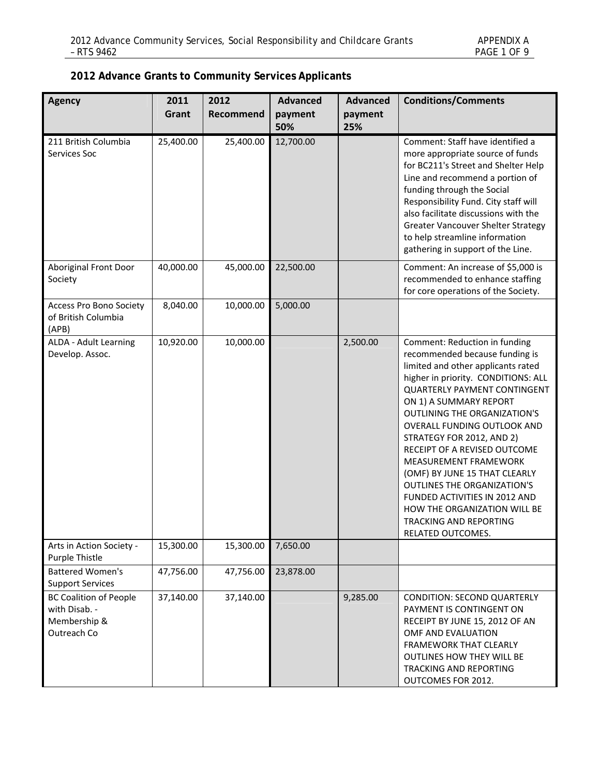# **2012 Advance Grants to Community Services Applicants**

| <b>Agency</b>                                                                 | 2011      | 2012      | <b>Advanced</b> | <b>Advanced</b> | <b>Conditions/Comments</b>                                                                                                                                                                                                                                                                                                                                                                                                                                                                                                                                       |
|-------------------------------------------------------------------------------|-----------|-----------|-----------------|-----------------|------------------------------------------------------------------------------------------------------------------------------------------------------------------------------------------------------------------------------------------------------------------------------------------------------------------------------------------------------------------------------------------------------------------------------------------------------------------------------------------------------------------------------------------------------------------|
|                                                                               | Grant     | Recommend | payment<br>50%  | payment<br>25%  |                                                                                                                                                                                                                                                                                                                                                                                                                                                                                                                                                                  |
| 211 British Columbia                                                          | 25,400.00 |           |                 |                 | Comment: Staff have identified a                                                                                                                                                                                                                                                                                                                                                                                                                                                                                                                                 |
| Services Soc                                                                  |           | 25,400.00 | 12,700.00       |                 | more appropriate source of funds<br>for BC211's Street and Shelter Help<br>Line and recommend a portion of<br>funding through the Social<br>Responsibility Fund. City staff will<br>also facilitate discussions with the<br><b>Greater Vancouver Shelter Strategy</b><br>to help streamline information<br>gathering in support of the Line.                                                                                                                                                                                                                     |
| Aboriginal Front Door<br>Society                                              | 40,000.00 | 45,000.00 | 22,500.00       |                 | Comment: An increase of \$5,000 is<br>recommended to enhance staffing<br>for core operations of the Society.                                                                                                                                                                                                                                                                                                                                                                                                                                                     |
| Access Pro Bono Society<br>of British Columbia<br>(APB)                       | 8,040.00  | 10,000.00 | 5,000.00        |                 |                                                                                                                                                                                                                                                                                                                                                                                                                                                                                                                                                                  |
| <b>ALDA - Adult Learning</b><br>Develop. Assoc.                               | 10,920.00 | 10,000.00 |                 | 2,500.00        | Comment: Reduction in funding<br>recommended because funding is<br>limited and other applicants rated<br>higher in priority. CONDITIONS: ALL<br>QUARTERLY PAYMENT CONTINGENT<br>ON 1) A SUMMARY REPORT<br><b>OUTLINING THE ORGANIZATION'S</b><br>OVERALL FUNDING OUTLOOK AND<br>STRATEGY FOR 2012, AND 2)<br>RECEIPT OF A REVISED OUTCOME<br>MEASUREMENT FRAMEWORK<br>(OMF) BY JUNE 15 THAT CLEARLY<br><b>OUTLINES THE ORGANIZATION'S</b><br>FUNDED ACTIVITIES IN 2012 AND<br>HOW THE ORGANIZATION WILL BE<br><b>TRACKING AND REPORTING</b><br>RELATED OUTCOMES. |
| Arts in Action Society -<br>Purple Thistle                                    | 15,300.00 | 15,300.00 | 7,650.00        |                 |                                                                                                                                                                                                                                                                                                                                                                                                                                                                                                                                                                  |
| <b>Battered Women's</b><br><b>Support Services</b>                            | 47,756.00 | 47,756.00 | 23,878.00       |                 |                                                                                                                                                                                                                                                                                                                                                                                                                                                                                                                                                                  |
| <b>BC Coalition of People</b><br>with Disab. -<br>Membership &<br>Outreach Co | 37,140.00 | 37,140.00 |                 | 9,285.00        | CONDITION: SECOND QUARTERLY<br>PAYMENT IS CONTINGENT ON<br>RECEIPT BY JUNE 15, 2012 OF AN<br>OMF AND EVALUATION<br><b>FRAMEWORK THAT CLEARLY</b><br><b>OUTLINES HOW THEY WILL BE</b><br><b>TRACKING AND REPORTING</b><br>OUTCOMES FOR 2012.                                                                                                                                                                                                                                                                                                                      |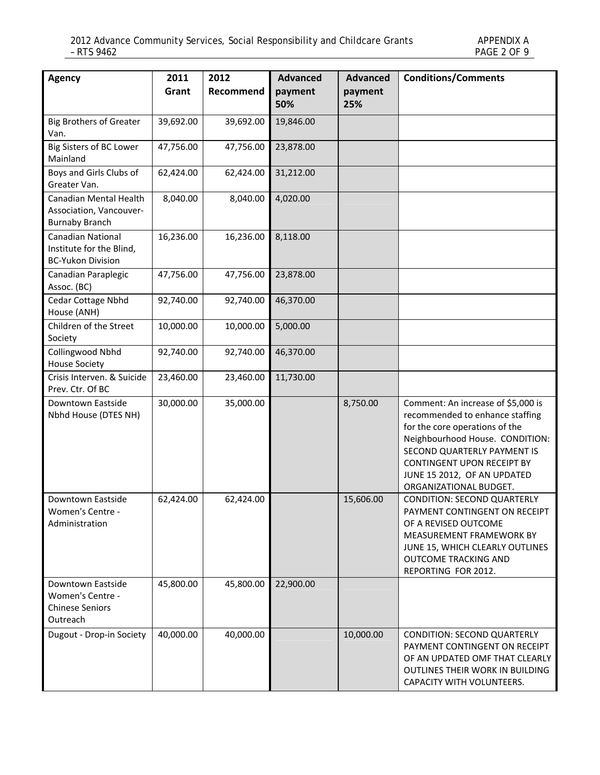| <b>Agency</b>                                                                     | 2011<br>Grant | 2012<br>Recommend | <b>Advanced</b><br>payment | <b>Advanced</b><br>payment | <b>Conditions/Comments</b>                                                                                                                                                                                                                                              |
|-----------------------------------------------------------------------------------|---------------|-------------------|----------------------------|----------------------------|-------------------------------------------------------------------------------------------------------------------------------------------------------------------------------------------------------------------------------------------------------------------------|
|                                                                                   |               |                   | 50%                        | 25%                        |                                                                                                                                                                                                                                                                         |
| <b>Big Brothers of Greater</b><br>Van.                                            | 39,692.00     | 39,692.00         | 19,846.00                  |                            |                                                                                                                                                                                                                                                                         |
| Big Sisters of BC Lower<br>Mainland                                               | 47,756.00     | 47,756.00         | 23,878.00                  |                            |                                                                                                                                                                                                                                                                         |
| Boys and Girls Clubs of<br>Greater Van.                                           | 62,424.00     | 62,424.00         | 31,212.00                  |                            |                                                                                                                                                                                                                                                                         |
| <b>Canadian Mental Health</b><br>Association, Vancouver-<br><b>Burnaby Branch</b> | 8,040.00      | 8,040.00          | 4,020.00                   |                            |                                                                                                                                                                                                                                                                         |
| Canadian National<br>Institute for the Blind,<br><b>BC-Yukon Division</b>         | 16,236.00     | 16,236.00         | 8,118.00                   |                            |                                                                                                                                                                                                                                                                         |
| Canadian Paraplegic<br>Assoc. (BC)                                                | 47,756.00     | 47,756.00         | 23,878.00                  |                            |                                                                                                                                                                                                                                                                         |
| <b>Cedar Cottage Nbhd</b><br>House (ANH)                                          | 92,740.00     | 92,740.00         | 46,370.00                  |                            |                                                                                                                                                                                                                                                                         |
| Children of the Street<br>Society                                                 | 10,000.00     | 10,000.00         | 5,000.00                   |                            |                                                                                                                                                                                                                                                                         |
| Collingwood Nbhd<br><b>House Society</b>                                          | 92,740.00     | 92,740.00         | 46,370.00                  |                            |                                                                                                                                                                                                                                                                         |
| Crisis Interven. & Suicide<br>Prev. Ctr. Of BC                                    | 23,460.00     | 23,460.00         | 11,730.00                  |                            |                                                                                                                                                                                                                                                                         |
| Downtown Eastside<br>Nbhd House (DTES NH)                                         | 30,000.00     | 35,000.00         |                            | 8,750.00                   | Comment: An increase of \$5,000 is<br>recommended to enhance staffing<br>for the core operations of the<br>Neighbourhood House. CONDITION:<br>SECOND QUARTERLY PAYMENT IS<br><b>CONTINGENT UPON RECEIPT BY</b><br>JUNE 15 2012, OF AN UPDATED<br>ORGANIZATIONAL BUDGET. |
| Downtown Eastside<br>Women's Centre -<br>Administration                           | 62,424.00     | 62,424.00         |                            | 15,606.00                  | CONDITION: SECOND QUARTERLY<br>PAYMENT CONTINGENT ON RECEIPT<br>OF A REVISED OUTCOME<br>MEASUREMENT FRAMEWORK BY<br>JUNE 15, WHICH CLEARLY OUTLINES<br><b>OUTCOME TRACKING AND</b><br>REPORTING FOR 2012.                                                               |
| Downtown Eastside<br>Women's Centre -<br><b>Chinese Seniors</b><br>Outreach       | 45,800.00     | 45,800.00         | 22,900.00                  |                            |                                                                                                                                                                                                                                                                         |
| Dugout - Drop-in Society                                                          | 40,000.00     | 40,000.00         |                            | 10,000.00                  | <b>CONDITION: SECOND QUARTERLY</b><br>PAYMENT CONTINGENT ON RECEIPT<br>OF AN UPDATED OMF THAT CLEARLY<br>OUTLINES THEIR WORK IN BUILDING<br>CAPACITY WITH VOLUNTEERS.                                                                                                   |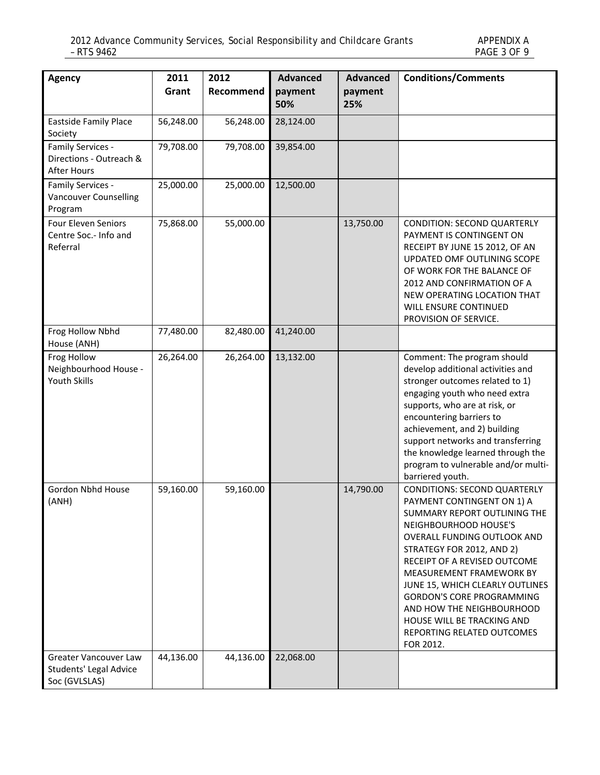| <b>Agency</b>                                                    | 2011<br>Grant | 2012<br>Recommend | <b>Advanced</b><br>payment | <b>Advanced</b><br>payment | <b>Conditions/Comments</b>                                                                                                                                                                                                                                                                                                                                                                                                      |
|------------------------------------------------------------------|---------------|-------------------|----------------------------|----------------------------|---------------------------------------------------------------------------------------------------------------------------------------------------------------------------------------------------------------------------------------------------------------------------------------------------------------------------------------------------------------------------------------------------------------------------------|
|                                                                  |               |                   | 50%                        | 25%                        |                                                                                                                                                                                                                                                                                                                                                                                                                                 |
| <b>Eastside Family Place</b><br>Society                          | 56,248.00     | 56,248.00         | 28,124.00                  |                            |                                                                                                                                                                                                                                                                                                                                                                                                                                 |
| Family Services -<br>Directions - Outreach &<br>After Hours      | 79,708.00     | 79,708.00         | 39,854.00                  |                            |                                                                                                                                                                                                                                                                                                                                                                                                                                 |
| Family Services -<br><b>Vancouver Counselling</b><br>Program     | 25,000.00     | 25,000.00         | 12,500.00                  |                            |                                                                                                                                                                                                                                                                                                                                                                                                                                 |
| Four Eleven Seniors<br>Centre Soc.- Info and<br>Referral         | 75,868.00     | 55,000.00         |                            | 13,750.00                  | CONDITION: SECOND QUARTERLY<br>PAYMENT IS CONTINGENT ON<br>RECEIPT BY JUNE 15 2012, OF AN<br>UPDATED OMF OUTLINING SCOPE<br>OF WORK FOR THE BALANCE OF<br>2012 AND CONFIRMATION OF A<br>NEW OPERATING LOCATION THAT<br>WILL ENSURE CONTINUED<br>PROVISION OF SERVICE.                                                                                                                                                           |
| Frog Hollow Nbhd<br>House (ANH)                                  | 77,480.00     | 82,480.00         | 41,240.00                  |                            |                                                                                                                                                                                                                                                                                                                                                                                                                                 |
| Frog Hollow<br>Neighbourhood House -<br>Youth Skills             | 26,264.00     | 26,264.00         | 13,132.00                  |                            | Comment: The program should<br>develop additional activities and<br>stronger outcomes related to 1)<br>engaging youth who need extra<br>supports, who are at risk, or<br>encountering barriers to<br>achievement, and 2) building<br>support networks and transferring<br>the knowledge learned through the<br>program to vulnerable and/or multi-<br>barriered youth.                                                          |
| Gordon Nbhd House<br>(ANH)                                       | 59,160.00     | 59,160.00         |                            | 14,790.00                  | <b>CONDITIONS: SECOND QUARTERLY</b><br>PAYMENT CONTINGENT ON 1) A<br>SUMMARY REPORT OUTLINING THE<br>NEIGHBOURHOOD HOUSE'S<br>OVERALL FUNDING OUTLOOK AND<br>STRATEGY FOR 2012, AND 2)<br>RECEIPT OF A REVISED OUTCOME<br>MEASUREMENT FRAMEWORK BY<br>JUNE 15, WHICH CLEARLY OUTLINES<br><b>GORDON'S CORE PROGRAMMING</b><br>AND HOW THE NEIGHBOURHOOD<br>HOUSE WILL BE TRACKING AND<br>REPORTING RELATED OUTCOMES<br>FOR 2012. |
| Greater Vancouver Law<br>Students' Legal Advice<br>Soc (GVLSLAS) | 44,136.00     | 44,136.00         | 22,068.00                  |                            |                                                                                                                                                                                                                                                                                                                                                                                                                                 |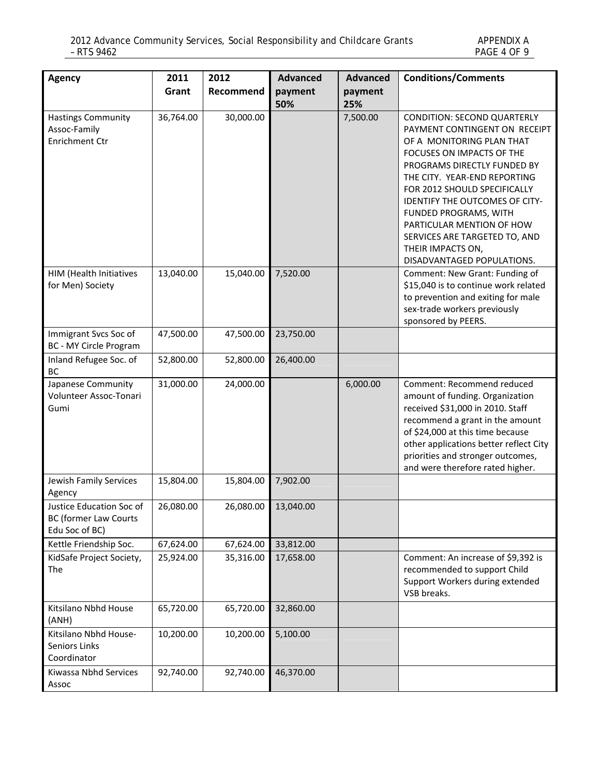| <b>Agency</b>                                                              | 2011<br>Grant | 2012<br>Recommend | <b>Advanced</b><br>payment<br>50% | <b>Advanced</b><br>payment<br>25% | <b>Conditions/Comments</b>                                                                                                                                                                                                                                                                                                                                                                               |
|----------------------------------------------------------------------------|---------------|-------------------|-----------------------------------|-----------------------------------|----------------------------------------------------------------------------------------------------------------------------------------------------------------------------------------------------------------------------------------------------------------------------------------------------------------------------------------------------------------------------------------------------------|
| <b>Hastings Community</b><br>Assoc-Family<br>Enrichment Ctr                | 36,764.00     | 30,000.00         |                                   | 7,500.00                          | <b>CONDITION: SECOND QUARTERLY</b><br>PAYMENT CONTINGENT ON RECEIPT<br>OF A MONITORING PLAN THAT<br>FOCUSES ON IMPACTS OF THE<br>PROGRAMS DIRECTLY FUNDED BY<br>THE CITY. YEAR-END REPORTING<br>FOR 2012 SHOULD SPECIFICALLY<br>IDENTIFY THE OUTCOMES OF CITY-<br>FUNDED PROGRAMS, WITH<br>PARTICULAR MENTION OF HOW<br>SERVICES ARE TARGETED TO, AND<br>THEIR IMPACTS ON,<br>DISADVANTAGED POPULATIONS. |
| HIM (Health Initiatives<br>for Men) Society                                | 13,040.00     | 15,040.00         | 7,520.00                          |                                   | Comment: New Grant: Funding of<br>\$15,040 is to continue work related<br>to prevention and exiting for male<br>sex-trade workers previously<br>sponsored by PEERS.                                                                                                                                                                                                                                      |
| Immigrant Svcs Soc of<br><b>BC - MY Circle Program</b>                     | 47,500.00     | 47,500.00         | 23,750.00                         |                                   |                                                                                                                                                                                                                                                                                                                                                                                                          |
| Inland Refugee Soc. of<br>BC                                               | 52,800.00     | 52,800.00         | 26,400.00                         |                                   |                                                                                                                                                                                                                                                                                                                                                                                                          |
| Japanese Community<br>Volunteer Assoc-Tonari<br>Gumi                       | 31,000.00     | 24,000.00         |                                   | 6,000.00                          | Comment: Recommend reduced<br>amount of funding. Organization<br>received \$31,000 in 2010. Staff<br>recommend a grant in the amount<br>of \$24,000 at this time because<br>other applications better reflect City<br>priorities and stronger outcomes,<br>and were therefore rated higher.                                                                                                              |
| Jewish Family Services<br>Agency                                           | 15,804.00     | 15,804.00         | 7,902.00                          |                                   |                                                                                                                                                                                                                                                                                                                                                                                                          |
| Justice Education Soc of<br><b>BC (former Law Courts</b><br>Edu Soc of BC) | 26,080.00     |                   | 26,080.00 13,040.00               |                                   |                                                                                                                                                                                                                                                                                                                                                                                                          |
| Kettle Friendship Soc.                                                     | 67,624.00     | 67,624.00         | 33,812.00                         |                                   |                                                                                                                                                                                                                                                                                                                                                                                                          |
| KidSafe Project Society,<br>The                                            | 25,924.00     | 35,316.00         | 17,658.00                         |                                   | Comment: An increase of \$9,392 is<br>recommended to support Child<br>Support Workers during extended<br>VSB breaks.                                                                                                                                                                                                                                                                                     |
| Kitsilano Nbhd House<br>(ANH)                                              | 65,720.00     | 65,720.00         | 32,860.00                         |                                   |                                                                                                                                                                                                                                                                                                                                                                                                          |
| Kitsilano Nbhd House-<br>Seniors Links<br>Coordinator                      | 10,200.00     | 10,200.00         | 5,100.00                          |                                   |                                                                                                                                                                                                                                                                                                                                                                                                          |
| Kiwassa Nbhd Services<br>Assoc                                             | 92,740.00     | 92,740.00         | 46,370.00                         |                                   |                                                                                                                                                                                                                                                                                                                                                                                                          |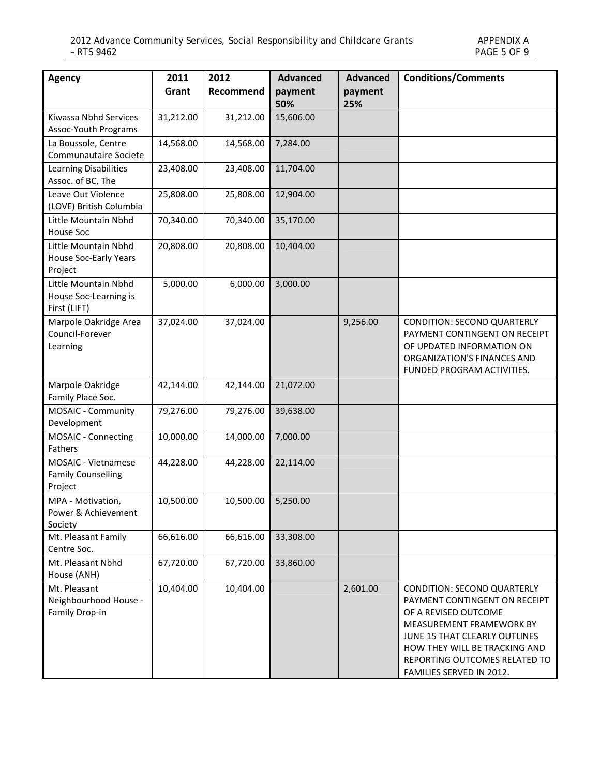| <b>Agency</b>                                                   | 2011<br>Grant | 2012<br>Recommend | <b>Advanced</b><br>payment<br>50% | <b>Advanced</b><br>payment<br>25% | <b>Conditions/Comments</b>                                                                                                                                                                                                                      |
|-----------------------------------------------------------------|---------------|-------------------|-----------------------------------|-----------------------------------|-------------------------------------------------------------------------------------------------------------------------------------------------------------------------------------------------------------------------------------------------|
| Kiwassa Nbhd Services<br>Assoc-Youth Programs                   | 31,212.00     | 31,212.00         | 15,606.00                         |                                   |                                                                                                                                                                                                                                                 |
| La Boussole, Centre<br>Communautaire Societe                    | 14,568.00     | 14,568.00         | 7,284.00                          |                                   |                                                                                                                                                                                                                                                 |
| Learning Disabilities<br>Assoc. of BC, The                      | 23,408.00     | 23,408.00         | 11,704.00                         |                                   |                                                                                                                                                                                                                                                 |
| Leave Out Violence<br>(LOVE) British Columbia                   | 25,808.00     | 25,808.00         | 12,904.00                         |                                   |                                                                                                                                                                                                                                                 |
| Little Mountain Nbhd<br>House Soc                               | 70,340.00     | 70,340.00         | 35,170.00                         |                                   |                                                                                                                                                                                                                                                 |
| Little Mountain Nbhd<br><b>House Soc-Early Years</b><br>Project | 20,808.00     | 20,808.00         | 10,404.00                         |                                   |                                                                                                                                                                                                                                                 |
| Little Mountain Nbhd<br>House Soc-Learning is<br>First (LIFT)   | 5,000.00      | 6,000.00          | 3,000.00                          |                                   |                                                                                                                                                                                                                                                 |
| Marpole Oakridge Area<br>Council-Forever<br>Learning            | 37,024.00     | 37,024.00         |                                   | 9,256.00                          | <b>CONDITION: SECOND QUARTERLY</b><br>PAYMENT CONTINGENT ON RECEIPT<br>OF UPDATED INFORMATION ON<br>ORGANIZATION'S FINANCES AND<br>FUNDED PROGRAM ACTIVITIES.                                                                                   |
| Marpole Oakridge<br>Family Place Soc.                           | 42,144.00     | 42,144.00         | 21,072.00                         |                                   |                                                                                                                                                                                                                                                 |
| MOSAIC - Community<br>Development                               | 79,276.00     | 79,276.00         | 39,638.00                         |                                   |                                                                                                                                                                                                                                                 |
| <b>MOSAIC - Connecting</b><br><b>Fathers</b>                    | 10,000.00     | 14,000.00         | 7,000.00                          |                                   |                                                                                                                                                                                                                                                 |
| MOSAIC - Vietnamese<br><b>Family Counselling</b><br>Project     | 44,228.00     | 44,228.00         | 22,114.00                         |                                   |                                                                                                                                                                                                                                                 |
| MPA - Motivation,<br>Power & Achievement<br>Society             | 10,500.00     | 10,500.00         | 5,250.00                          |                                   |                                                                                                                                                                                                                                                 |
| Mt. Pleasant Family<br>Centre Soc.                              | 66,616.00     | 66,616.00         | 33,308.00                         |                                   |                                                                                                                                                                                                                                                 |
| Mt. Pleasant Nbhd<br>House (ANH)                                | 67,720.00     | 67,720.00         | 33,860.00                         |                                   |                                                                                                                                                                                                                                                 |
| Mt. Pleasant<br>Neighbourhood House -<br>Family Drop-in         | 10,404.00     | 10,404.00         |                                   | 2,601.00                          | CONDITION: SECOND QUARTERLY<br>PAYMENT CONTINGENT ON RECEIPT<br>OF A REVISED OUTCOME<br>MEASUREMENT FRAMEWORK BY<br>JUNE 15 THAT CLEARLY OUTLINES<br>HOW THEY WILL BE TRACKING AND<br>REPORTING OUTCOMES RELATED TO<br>FAMILIES SERVED IN 2012. |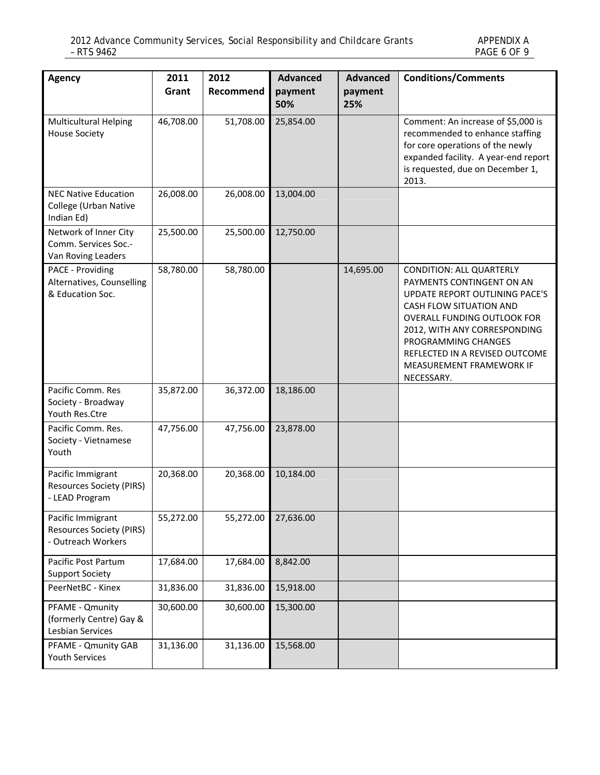| <b>Agency</b>                                                              | 2011<br>Grant | 2012<br>Recommend | <b>Advanced</b><br>payment<br>50% | <b>Advanced</b><br>payment<br>25% | <b>Conditions/Comments</b>                                                                                                                                                                                                                                                                  |
|----------------------------------------------------------------------------|---------------|-------------------|-----------------------------------|-----------------------------------|---------------------------------------------------------------------------------------------------------------------------------------------------------------------------------------------------------------------------------------------------------------------------------------------|
| <b>Multicultural Helping</b><br><b>House Society</b>                       | 46,708.00     | 51,708.00         | 25,854.00                         |                                   | Comment: An increase of \$5,000 is<br>recommended to enhance staffing<br>for core operations of the newly<br>expanded facility. A year-end report<br>is requested, due on December 1,<br>2013.                                                                                              |
| <b>NEC Native Education</b><br>College (Urban Native<br>Indian Ed)         | 26,008.00     | 26,008.00         | 13,004.00                         |                                   |                                                                                                                                                                                                                                                                                             |
| Network of Inner City<br>Comm. Services Soc.-<br>Van Roving Leaders        | 25,500.00     | 25,500.00         | 12,750.00                         |                                   |                                                                                                                                                                                                                                                                                             |
| PACE - Providing<br>Alternatives, Counselling<br>& Education Soc.          | 58,780.00     | 58,780.00         |                                   | 14,695.00                         | <b>CONDITION: ALL QUARTERLY</b><br>PAYMENTS CONTINGENT ON AN<br>UPDATE REPORT OUTLINING PACE'S<br>CASH FLOW SITUATION AND<br>OVERALL FUNDING OUTLOOK FOR<br>2012, WITH ANY CORRESPONDING<br>PROGRAMMING CHANGES<br>REFLECTED IN A REVISED OUTCOME<br>MEASUREMENT FRAMEWORK IF<br>NECESSARY. |
| Pacific Comm. Res<br>Society - Broadway<br>Youth Res.Ctre                  | 35,872.00     | 36,372.00         | 18,186.00                         |                                   |                                                                                                                                                                                                                                                                                             |
| Pacific Comm. Res.<br>Society - Vietnamese<br>Youth                        | 47,756.00     | 47,756.00         | 23,878.00                         |                                   |                                                                                                                                                                                                                                                                                             |
| Pacific Immigrant<br><b>Resources Society (PIRS)</b><br>- LEAD Program     | 20,368.00     | 20,368.00         | 10,184.00                         |                                   |                                                                                                                                                                                                                                                                                             |
| Pacific Immigrant<br><b>Resources Society (PIRS)</b><br>- Outreach Workers | 55,272.00     | 55,272.00         | 27,636.00                         |                                   |                                                                                                                                                                                                                                                                                             |
| Pacific Post Partum<br><b>Support Society</b>                              | 17,684.00     | 17,684.00         | 8,842.00                          |                                   |                                                                                                                                                                                                                                                                                             |
| PeerNetBC - Kinex                                                          | 31,836.00     | 31,836.00         | 15,918.00                         |                                   |                                                                                                                                                                                                                                                                                             |
| PFAME - Qmunity<br>(formerly Centre) Gay &<br>Lesbian Services             | 30,600.00     | 30,600.00         | 15,300.00                         |                                   |                                                                                                                                                                                                                                                                                             |
| PFAME - Qmunity GAB<br>Youth Services                                      | 31,136.00     | 31,136.00         | 15,568.00                         |                                   |                                                                                                                                                                                                                                                                                             |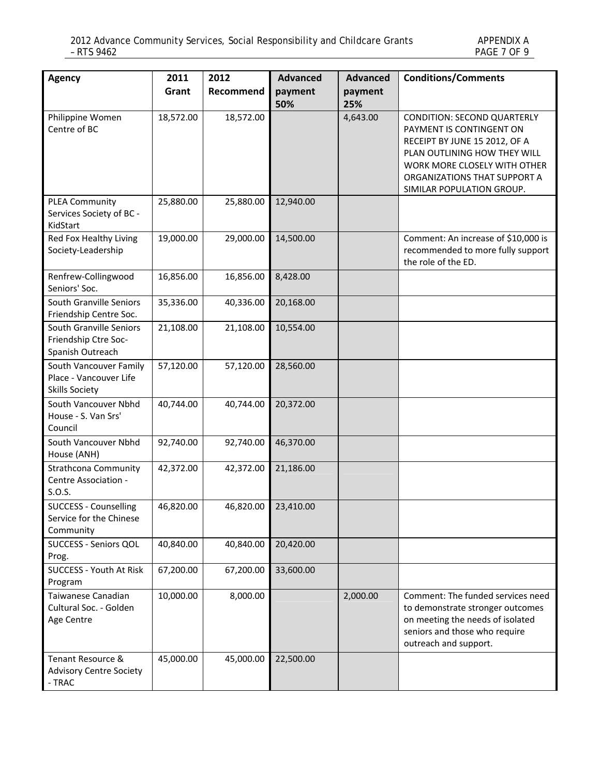| <b>Agency</b>                                                             | 2011<br>Grant | 2012<br>Recommend | <b>Advanced</b><br>payment<br>50% | <b>Advanced</b><br>payment<br>25% | <b>Conditions/Comments</b>                                                                                                                                                                                                   |
|---------------------------------------------------------------------------|---------------|-------------------|-----------------------------------|-----------------------------------|------------------------------------------------------------------------------------------------------------------------------------------------------------------------------------------------------------------------------|
| Philippine Women<br>Centre of BC                                          | 18,572.00     | 18,572.00         |                                   | 4,643.00                          | <b>CONDITION: SECOND QUARTERLY</b><br>PAYMENT IS CONTINGENT ON<br>RECEIPT BY JUNE 15 2012, OF A<br>PLAN OUTLINING HOW THEY WILL<br>WORK MORE CLOSELY WITH OTHER<br>ORGANIZATIONS THAT SUPPORT A<br>SIMILAR POPULATION GROUP. |
| <b>PLEA Community</b><br>Services Society of BC -<br>KidStart             | 25,880.00     | 25,880.00         | 12,940.00                         |                                   |                                                                                                                                                                                                                              |
| Red Fox Healthy Living<br>Society-Leadership                              | 19,000.00     | 29,000.00         | 14,500.00                         |                                   | Comment: An increase of \$10,000 is<br>recommended to more fully support<br>the role of the ED.                                                                                                                              |
| Renfrew-Collingwood<br>Seniors' Soc.                                      | 16,856.00     | 16,856.00         | 8,428.00                          |                                   |                                                                                                                                                                                                                              |
| South Granville Seniors<br>Friendship Centre Soc.                         | 35,336.00     | 40,336.00         | 20,168.00                         |                                   |                                                                                                                                                                                                                              |
| South Granville Seniors<br>Friendship Ctre Soc-<br>Spanish Outreach       | 21,108.00     | 21,108.00         | 10,554.00                         |                                   |                                                                                                                                                                                                                              |
| South Vancouver Family<br>Place - Vancouver Life<br><b>Skills Society</b> | 57,120.00     | 57,120.00         | 28,560.00                         |                                   |                                                                                                                                                                                                                              |
| South Vancouver Nbhd<br>House - S. Van Srs'<br>Council                    | 40,744.00     | 40,744.00         | 20,372.00                         |                                   |                                                                                                                                                                                                                              |
| South Vancouver Nbhd<br>House (ANH)                                       | 92,740.00     | 92,740.00         | 46,370.00                         |                                   |                                                                                                                                                                                                                              |
| <b>Strathcona Community</b><br>Centre Association -<br>S.O.S.             | 42,372.00     | 42,372.00         | 21,186.00                         |                                   |                                                                                                                                                                                                                              |
| <b>SUCCESS - Counselling</b><br>Service for the Chinese<br>Community      | 46,820.00     | 46,820.00         | 23,410.00                         |                                   |                                                                                                                                                                                                                              |
| <b>SUCCESS - Seniors QOL</b><br>Prog.                                     | 40,840.00     | 40,840.00         | 20,420.00                         |                                   |                                                                                                                                                                                                                              |
| <b>SUCCESS - Youth At Risk</b><br>Program                                 | 67,200.00     | 67,200.00         | 33,600.00                         |                                   |                                                                                                                                                                                                                              |
| Taiwanese Canadian<br>Cultural Soc. - Golden<br>Age Centre                | 10,000.00     | 8,000.00          |                                   | 2,000.00                          | Comment: The funded services need<br>to demonstrate stronger outcomes<br>on meeting the needs of isolated<br>seniors and those who require<br>outreach and support.                                                          |
| Tenant Resource &<br><b>Advisory Centre Society</b><br>- TRAC             | 45,000.00     | 45,000.00         | 22,500.00                         |                                   |                                                                                                                                                                                                                              |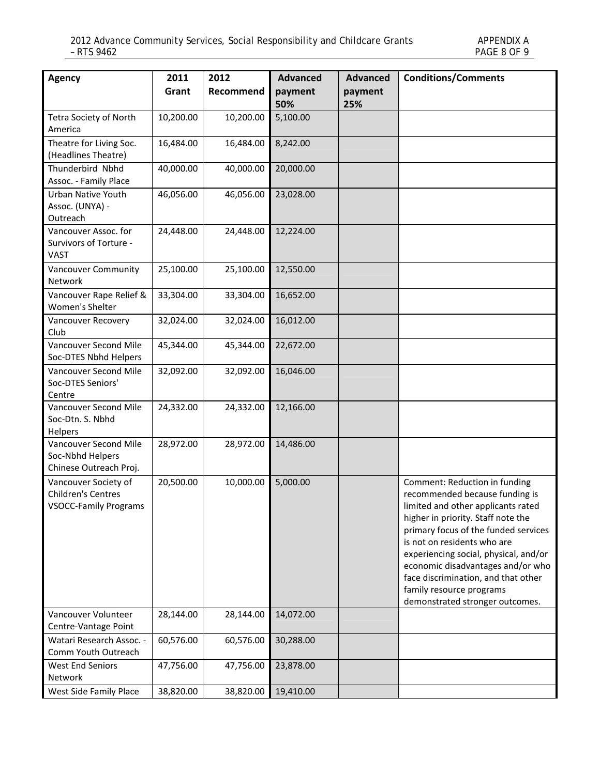| <b>Agency</b>                                                              | 2011      | 2012      | <b>Advanced</b> | <b>Advanced</b> | <b>Conditions/Comments</b>                                                                                                                                                                                                                                                                                                                                                                             |
|----------------------------------------------------------------------------|-----------|-----------|-----------------|-----------------|--------------------------------------------------------------------------------------------------------------------------------------------------------------------------------------------------------------------------------------------------------------------------------------------------------------------------------------------------------------------------------------------------------|
|                                                                            | Grant     | Recommend | payment<br>50%  | payment<br>25%  |                                                                                                                                                                                                                                                                                                                                                                                                        |
| Tetra Society of North<br>America                                          | 10,200.00 | 10,200.00 | 5,100.00        |                 |                                                                                                                                                                                                                                                                                                                                                                                                        |
| Theatre for Living Soc.<br>(Headlines Theatre)                             | 16,484.00 | 16,484.00 | 8,242.00        |                 |                                                                                                                                                                                                                                                                                                                                                                                                        |
| Thunderbird Nbhd<br>Assoc. - Family Place                                  | 40,000.00 | 40,000.00 | 20,000.00       |                 |                                                                                                                                                                                                                                                                                                                                                                                                        |
| <b>Urban Native Youth</b><br>Assoc. (UNYA) -<br>Outreach                   | 46,056.00 | 46,056.00 | 23,028.00       |                 |                                                                                                                                                                                                                                                                                                                                                                                                        |
| Vancouver Assoc. for<br>Survivors of Torture -<br><b>VAST</b>              | 24,448.00 | 24,448.00 | 12,224.00       |                 |                                                                                                                                                                                                                                                                                                                                                                                                        |
| <b>Vancouver Community</b><br>Network                                      | 25,100.00 | 25,100.00 | 12,550.00       |                 |                                                                                                                                                                                                                                                                                                                                                                                                        |
| Vancouver Rape Relief &<br>Women's Shelter                                 | 33,304.00 | 33,304.00 | 16,652.00       |                 |                                                                                                                                                                                                                                                                                                                                                                                                        |
| Vancouver Recovery<br>Club                                                 | 32,024.00 | 32,024.00 | 16,012.00       |                 |                                                                                                                                                                                                                                                                                                                                                                                                        |
| Vancouver Second Mile<br>Soc-DTES Nbhd Helpers                             | 45,344.00 | 45,344.00 | 22,672.00       |                 |                                                                                                                                                                                                                                                                                                                                                                                                        |
| Vancouver Second Mile<br>Soc-DTES Seniors'<br>Centre                       | 32,092.00 | 32,092.00 | 16,046.00       |                 |                                                                                                                                                                                                                                                                                                                                                                                                        |
| Vancouver Second Mile<br>Soc-Dtn. S. Nbhd<br>Helpers                       | 24,332.00 | 24,332.00 | 12,166.00       |                 |                                                                                                                                                                                                                                                                                                                                                                                                        |
| Vancouver Second Mile<br>Soc-Nbhd Helpers<br>Chinese Outreach Proj.        | 28,972.00 | 28,972.00 | 14,486.00       |                 |                                                                                                                                                                                                                                                                                                                                                                                                        |
| Vancouver Society of<br>Children's Centres<br><b>VSOCC-Family Programs</b> | 20,500.00 | 10,000.00 | 5,000.00        |                 | Comment: Reduction in funding<br>recommended because funding is<br>limited and other applicants rated<br>higher in priority. Staff note the<br>primary focus of the funded services<br>is not on residents who are<br>experiencing social, physical, and/or<br>economic disadvantages and/or who<br>face discrimination, and that other<br>family resource programs<br>demonstrated stronger outcomes. |
| Vancouver Volunteer<br>Centre-Vantage Point                                | 28,144.00 | 28,144.00 | 14,072.00       |                 |                                                                                                                                                                                                                                                                                                                                                                                                        |
| Watari Research Assoc. -<br>Comm Youth Outreach                            | 60,576.00 | 60,576.00 | 30,288.00       |                 |                                                                                                                                                                                                                                                                                                                                                                                                        |
| <b>West End Seniors</b><br>Network                                         | 47,756.00 | 47,756.00 | 23,878.00       |                 |                                                                                                                                                                                                                                                                                                                                                                                                        |
| West Side Family Place                                                     | 38,820.00 | 38,820.00 | 19,410.00       |                 |                                                                                                                                                                                                                                                                                                                                                                                                        |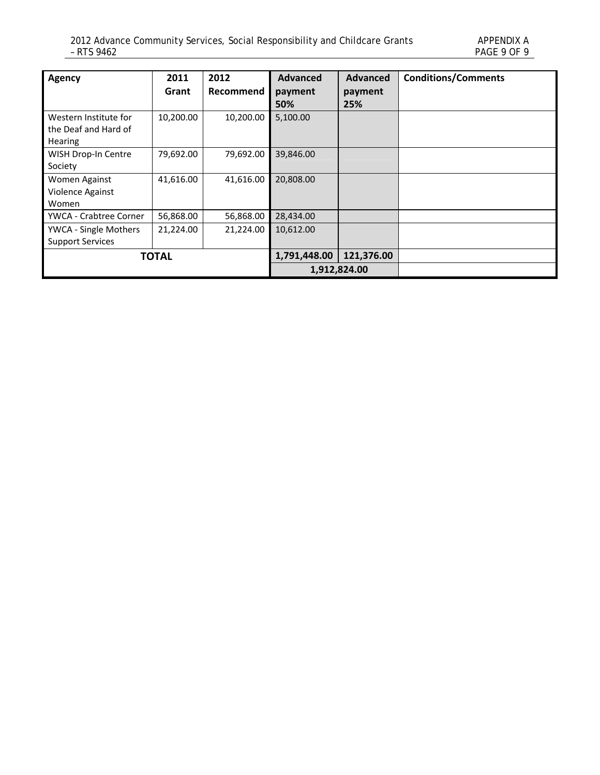| Agency                                                          | 2011<br>Grant | 2012<br><b>Recommend</b> | <b>Advanced</b><br>payment<br>50% | <b>Advanced</b><br>payment<br>25% | <b>Conditions/Comments</b> |
|-----------------------------------------------------------------|---------------|--------------------------|-----------------------------------|-----------------------------------|----------------------------|
| Western Institute for<br>the Deaf and Hard of<br><b>Hearing</b> | 10,200.00     | 10,200.00                | 5,100.00                          |                                   |                            |
| WISH Drop-In Centre<br>Society                                  | 79,692.00     | 79,692.00                | 39,846.00                         |                                   |                            |
| Women Against<br>Violence Against<br>Women                      | 41,616.00     | 41,616.00                | 20,808.00                         |                                   |                            |
| YWCA - Crabtree Corner                                          | 56,868.00     | 56,868.00                | 28,434.00                         |                                   |                            |
| <b>YWCA - Single Mothers</b><br><b>Support Services</b>         | 21,224.00     | 21,224.00                | 10,612.00                         |                                   |                            |
| <b>TOTAL</b>                                                    |               |                          | 1,791,448.00                      | 121,376.00                        |                            |
|                                                                 |               |                          |                                   | 1,912,824.00                      |                            |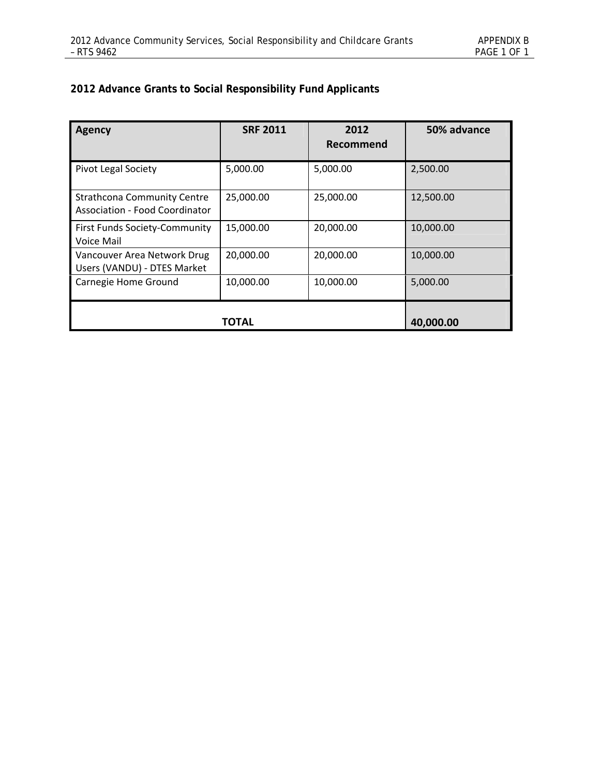# **2012 Advance Grants to Social Responsibility Fund Applicants**

| <b>Agency</b>                                                               | <b>SRF 2011</b> | 2012<br>Recommend | 50% advance |
|-----------------------------------------------------------------------------|-----------------|-------------------|-------------|
| <b>Pivot Legal Society</b>                                                  | 5,000.00        | 5,000.00          | 2,500.00    |
| <b>Strathcona Community Centre</b><br><b>Association - Food Coordinator</b> | 25,000.00       | 25,000.00         | 12,500.00   |
| First Funds Society-Community<br>Voice Mail                                 | 15,000.00       | 20,000.00         | 10,000.00   |
| Vancouver Area Network Drug<br>Users (VANDU) - DTES Market                  | 20,000.00       | 20,000.00         | 10,000.00   |
| Carnegie Home Ground                                                        | 10,000.00       | 10,000.00         | 5,000.00    |
|                                                                             | 40,000.00       |                   |             |